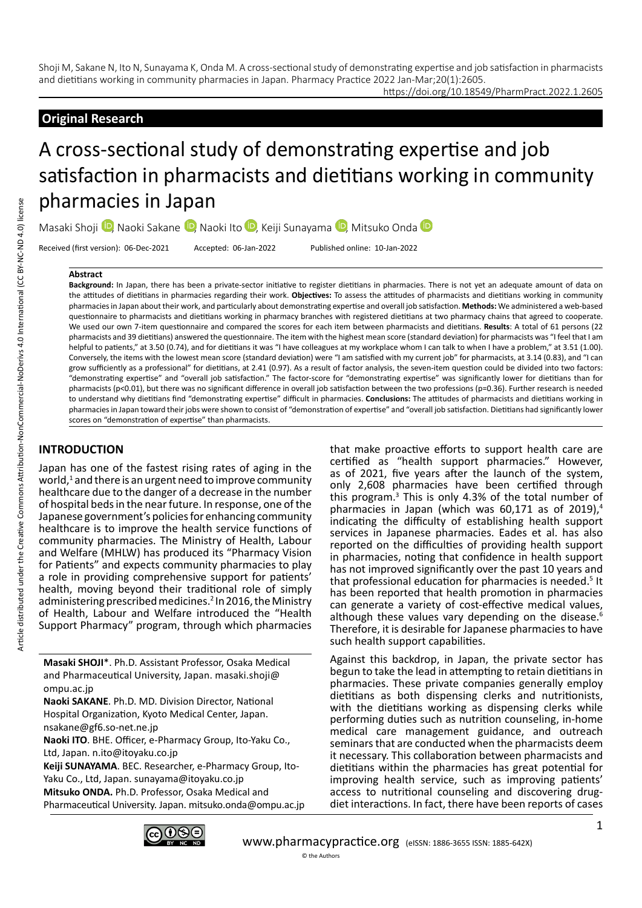https://doi.org/10.18549/PharmPract.2022.1.2605

# **Original Research**

# A cross-sectional study of demonstrating expertise and job satisfaction in pharmacists and dietitians working in community pharmacies in Japan

Masaki Shoji <sup>(D</sup>, Naoki Sakane <sup>(D</sup>, Naoki Ito <sup>(D</sup>, Keiji Sunayama <sup>(D</sup>, Mitsuko Onda <sup>(D</sup>)

Received (first version): 06-Dec-2021 Accepted: 06-Jan-2022 Published online: 10-Jan-2022

#### **Abstract**

**Background:** In Japan, there has been a private-sector initiative to register dietitians in pharmacies. There is not yet an adequate amount of data on the attitudes of dietitians in pharmacies regarding their work. **Objectives:** To assess the attitudes of pharmacists and dietitians working in community pharmacies in Japan about their work, and particularly about demonstrating expertise and overall job satisfaction. **Methods:** We administered a web-based questionnaire to pharmacists and dietitians working in pharmacy branches with registered dietitians at two pharmacy chains that agreed to cooperate. We used our own 7-item questionnaire and compared the scores for each item between pharmacists and dietitians. **Results**: A total of 61 persons (22 pharmacists and 39 dietitians) answered the questionnaire. The item with the highest mean score (standard deviation) for pharmacists was "I feel that I am helpful to patients," at 3.50 (0.74), and for dietitians it was "I have colleagues at my workplace whom I can talk to when I have a problem," at 3.51 (1.00). Conversely, the items with the lowest mean score (standard deviation) were "I am satisfied with my current job" for pharmacists, at 3.14 (0.83), and "I can grow sufficiently as a professional" for dietitians, at 2.41 (0.97). As a result of factor analysis, the seven-item question could be divided into two factors: "demonstrating expertise" and "overall job satisfaction." The factor-score for "demonstrating expertise" was significantly lower for dietitians than for pharmacists (p<0.01), but there was no significant difference in overall job satisfaction between the two professions (p=0.36). Further research is needed to understand why dietitians find "demonstrating expertise" difficult in pharmacies. **Conclusions:** The attitudes of pharmacists and dietitians working in pharmacies in Japan toward their jobs were shown to consist of "demonstration of expertise" and "overall job satisfaction. Dietitians had significantly lower scores on "demonstration of expertise" than pharmacists.

# **INTRODUCTION**

Japan has one of the fastest rising rates of aging in the world, $<sup>1</sup>$  and there is an urgent need to improve community</sup> healthcare due to the danger of a decrease in the number of hospital beds in the near future. In response, one of the Japanese government's policies for enhancing community healthcare is to improve the health service functions of community pharmacies. The Ministry of Health, Labour and Welfare (MHLW) has produced its "Pharmacy Vision for Patients" and expects community pharmacies to play a role in providing comprehensive support for patients' health, moving beyond their traditional role of simply administering prescribed medicines.<sup>2</sup> In 2016, the Ministry of Health, Labour and Welfare introduced the "Health Support Pharmacy" program, through which pharmacies

**Masaki SHOJI**\*. Ph.D. Assistant Professor, Osaka Medical and Pharmaceutical University, Japan. masaki.shoji@ ompu.ac.jp

**Naoki SAKANE**. Ph.D. MD. Division Director, National Hospital Organization, Kyoto Medical Center, Japan. nsakane@gf6.so-net.ne.jp

**Naoki ITO**. BHE. Officer, e-Pharmacy Group, Ito-Yaku Co., Ltd, Japan. n.ito@itoyaku.co.jp

**Keiji SUNAYAMA**. BEC. Researcher, e-Pharmacy Group, Ito-Yaku Co., Ltd, Japan. sunayama@itoyaku.co.jp **Mitsuko ONDA.** Ph.D. Professor, Osaka Medical and Pharmaceutical University. Japan. mitsuko.onda@ompu.ac.jp that make proactive efforts to support health care are certified as "health support pharmacies." However, as of 2021, five years after the launch of the system, only 2,608 pharmacies have been certified through this program.<sup>3</sup> This is only 4.3% of the total number of pharmacies in Japan (which was  $60,171$  as of  $2019$ ),<sup>4</sup> indicating the difficulty of establishing health support services in Japanese pharmacies. Eades et al. has also reported on the difficulties of providing health support in pharmacies, noting that confidence in health support has not improved significantly over the past 10 years and that professional education for pharmacies is needed.<sup>5</sup> It has been reported that health promotion in pharmacies can generate a variety of cost-effective medical values, although these values vary depending on the disease.<sup>6</sup> Therefore, it is desirable for Japanese pharmacies to have such health support capabilities.

Against this backdrop, in Japan, the private sector has begun to take the lead in attempting to retain dietitians in pharmacies. These private companies generally employ dietitians as both dispensing clerks and nutritionists, with the dietitians working as dispensing clerks while performing duties such as nutrition counseling, in-home medical care management guidance, and outreach seminars that are conducted when the pharmacists deem it necessary. This collaboration between pharmacists and dietitians within the pharmacies has great potential for improving health service, such as improving patients' access to nutritional counseling and discovering drugdiet interactions. In fact, there have been reports of cases

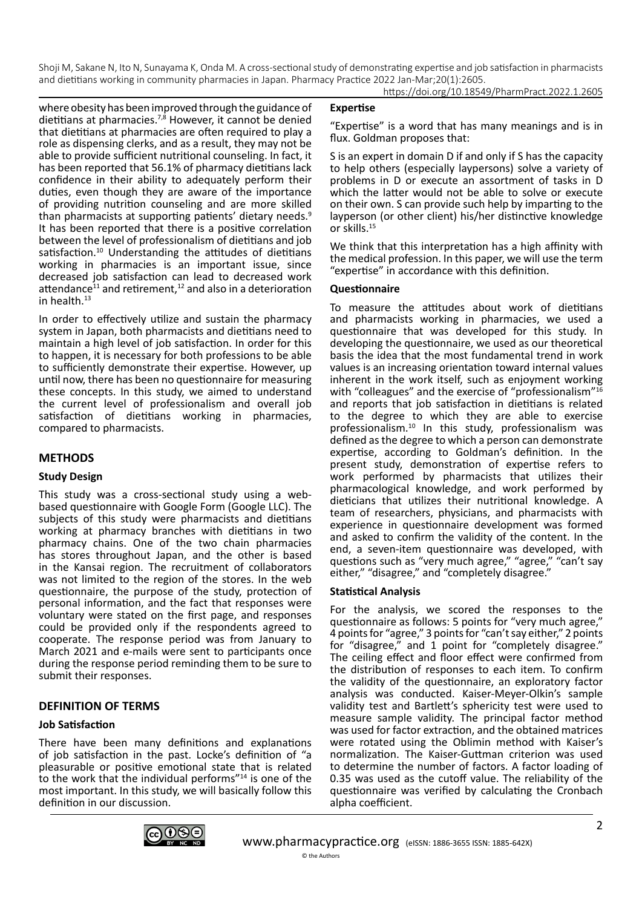where obesity has been improved through the guidance of dietitians at pharmacies.<sup>7,8</sup> However, it cannot be denied that dietitians at pharmacies are often required to play a role as dispensing clerks, and as a result, they may not be able to provide sufficient nutritional counseling. In fact, it has been reported that 56.1% of pharmacy dietitians lack confidence in their ability to adequately perform their duties, even though they are aware of the importance of providing nutrition counseling and are more skilled than pharmacists at supporting patients' dietary needs.9 It has been reported that there is a positive correlation between the level of professionalism of dietitians and job satisfaction.<sup>10</sup> Understanding the attitudes of dietitians working in pharmacies is an important issue, since decreased job satisfaction can lead to decreased work attendance<sup>11</sup> and retirement,<sup>12</sup> and also in a deterioration in health.<sup>13</sup>

In order to effectively utilize and sustain the pharmacy system in Japan, both pharmacists and dietitians need to maintain a high level of job satisfaction. In order for this to happen, it is necessary for both professions to be able to sufficiently demonstrate their expertise. However, up until now, there has been no questionnaire for measuring these concepts. In this study, we aimed to understand the current level of professionalism and overall job satisfaction of dietitians working in pharmacies, compared to pharmacists.

# **METHODS**

# **Study Design**

This study was a cross-sectional study using a webbased questionnaire with Google Form (Google LLC). The subjects of this study were pharmacists and dietitians working at pharmacy branches with dietitians in two pharmacy chains. One of the two chain pharmacies has stores throughout Japan, and the other is based in the Kansai region. The recruitment of collaborators was not limited to the region of the stores. In the web questionnaire, the purpose of the study, protection of personal information, and the fact that responses were voluntary were stated on the first page, and responses could be provided only if the respondents agreed to cooperate. The response period was from January to March 2021 and e-mails were sent to participants once during the response period reminding them to be sure to submit their responses.

# **DEFINITION OF TERMS**

# **Job Satisfaction**

There have been many definitions and explanations of job satisfaction in the past. Locke's definition of "a pleasurable or positive emotional state that is related to the work that the individual performs"<sup>14</sup> is one of the most important. In this study, we will basically follow this definition in our discussion.

#### **Expertise**

"Expertise" is a word that has many meanings and is in flux. Goldman proposes that:

S is an expert in domain D if and only if S has the capacity to help others (especially laypersons) solve a variety of problems in D or execute an assortment of tasks in D which the latter would not be able to solve or execute on their own. S can provide such help by imparting to the layperson (or other client) his/her distinctive knowledge or skills.15

We think that this interpretation has a high affinity with the medical profession. In this paper, we will use the term "expertise" in accordance with this definition.

# **Questionnaire**

To measure the attitudes about work of dietitians and pharmacists working in pharmacies, we used a questionnaire that was developed for this study. In developing the questionnaire, we used as our theoretical basis the idea that the most fundamental trend in work values is an increasing orientation toward internal values inherent in the work itself, such as enjoyment working with "colleagues" and the exercise of "professionalism"<sup>16</sup> and reports that job satisfaction in dietitians is related to the degree to which they are able to exercise professionalism.10 In this study, professionalism was defined as the degree to which a person can demonstrate expertise, according to Goldman's definition. In the present study, demonstration of expertise refers to work performed by pharmacists that utilizes their pharmacological knowledge, and work performed by dieticians that utilizes their nutritional knowledge. A team of researchers, physicians, and pharmacists with experience in questionnaire development was formed and asked to confirm the validity of the content. In the end, a seven-item questionnaire was developed, with questions such as "very much agree," "agree," "can't say either," "disagree," and "completely disagree."

# **Statistical Analysis**

For the analysis, we scored the responses to the questionnaire as follows: 5 points for "very much agree," 4 points for "agree," 3 points for "can't say either," 2 points for "disagree," and 1 point for "completely disagree." The ceiling effect and floor effect were confirmed from the distribution of responses to each item. To confirm the validity of the questionnaire, an exploratory factor analysis was conducted. Kaiser-Meyer-Olkin's sample validity test and Bartlett's sphericity test were used to measure sample validity. The principal factor method was used for factor extraction, and the obtained matrices were rotated using the Oblimin method with Kaiser's normalization. The Kaiser-Guttman criterion was used to determine the number of factors. A factor loading of 0.35 was used as the cutoff value. The reliability of the questionnaire was verified by calculating the Cronbach alpha coefficient.

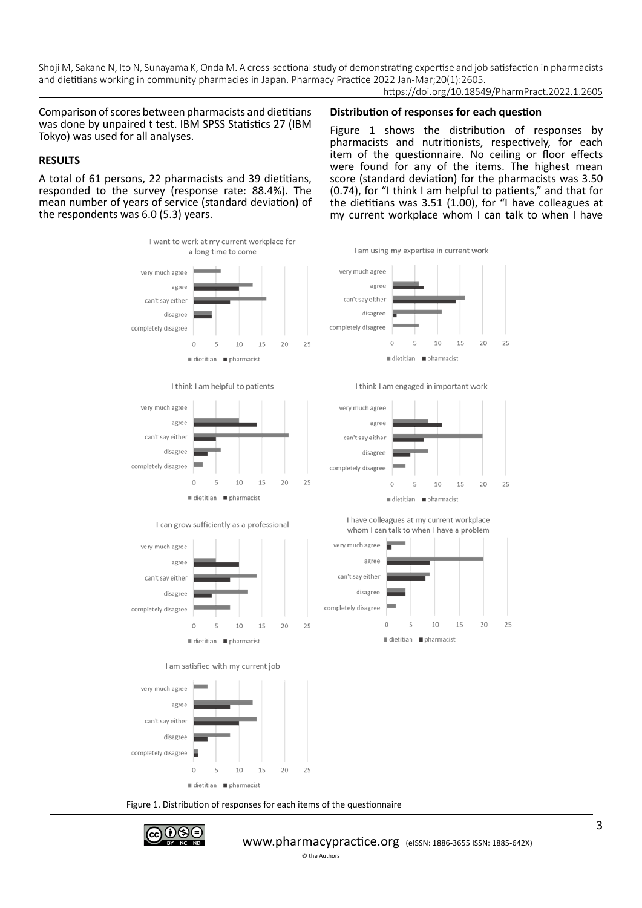https://doi.org/10.18549/PharmPract.2022.1.2605

Figure 1 shows the distribution of responses by pharmacists and nutritionists, respectively, for each item of the questionnaire. No ceiling or floor effects were found for any of the items. The highest mean score (standard deviation) for the pharmacists was 3.50 (0.74), for "I think I am helpful to patients," and that for the dietitians was 3.51 (1.00), for "I have colleagues at my current workplace whom I can talk to when I have

**Distribution of responses for each question**

Comparison of scores between pharmacists and dietitians was done by unpaired t test. IBM SPSS Statistics 27 (IBM Tokyo) was used for all analyses.

#### **RESULTS**

A total of 61 persons, 22 pharmacists and 39 dietitians, responded to the survey (response rate: 88.4%). The mean number of years of service (standard deviation) of the respondents was 6.0 (5.3) years.



Figure 1. Distribution of responses for each items of the questionnaire

dietitian pharmacist

© the Authors

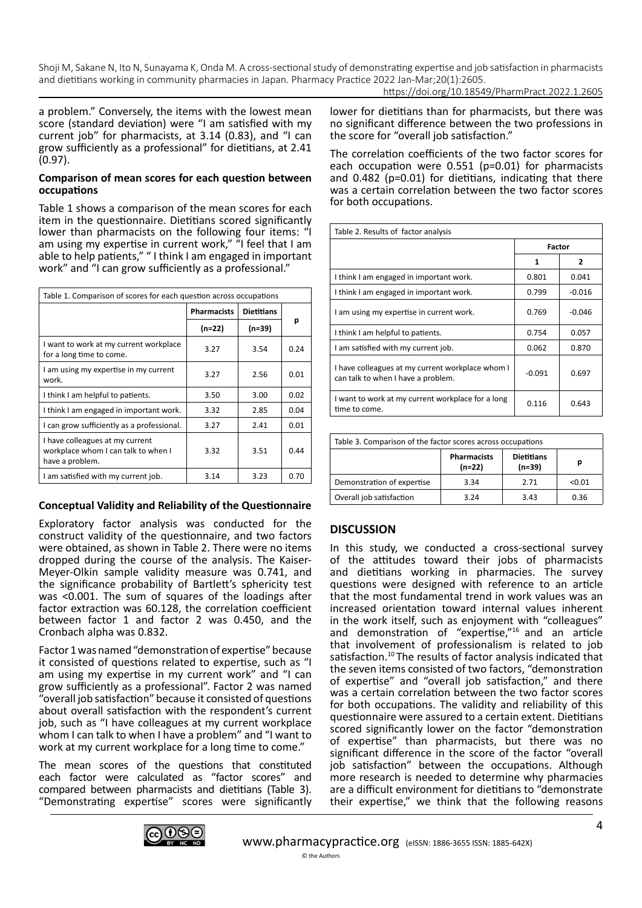https://doi.org/10.18549/PharmPract.2022.1.2605

a problem." Conversely, the items with the lowest mean score (standard deviation) were "I am satisfied with my current job" for pharmacists, at 3.14 (0.83), and "I can grow sufficiently as a professional" for dietitians, at 2.41 (0.97).

#### **Comparison of mean scores for each question between occupations**

Table 1 shows a comparison of the mean scores for each item in the questionnaire. Dietitians scored significantly lower than pharmacists on the following four items: "I am using my expertise in current work," "I feel that I am able to help patients," " I think I am engaged in important work" and "I can grow sufficiently as a professional."

| Table 1. Comparison of scores for each question across occupations                        |                    |                   |      |  |  |
|-------------------------------------------------------------------------------------------|--------------------|-------------------|------|--|--|
|                                                                                           | <b>Pharmacists</b> | <b>Dietitians</b> | р    |  |  |
|                                                                                           | (n=22)             | (n=39)            |      |  |  |
| I want to work at my current workplace<br>for a long time to come.                        | 3.27               | 3.54              | 0.24 |  |  |
| I am using my expertise in my current<br>work.                                            | 3.27               | 2.56              | 0.01 |  |  |
| I think I am helpful to patients.                                                         | 3.50               | 3.00              | 0.02 |  |  |
| I think I am engaged in important work.                                                   | 3.32               | 2.85              | 0.04 |  |  |
| I can grow sufficiently as a professional.                                                | 3.27               | 2.41              | 0.01 |  |  |
| I have colleagues at my current<br>workplace whom I can talk to when I<br>have a problem. | 3.32               | 3.51              | 0.44 |  |  |
| I am satisfied with my current job.                                                       | 3.14               | 3.23              | 0.70 |  |  |

# **Conceptual Validity and Reliability of the Questionnaire**

Exploratory factor analysis was conducted for the construct validity of the questionnaire, and two factors were obtained, as shown in Table 2. There were no items dropped during the course of the analysis. The Kaiser-Meyer-Olkin sample validity measure was 0.741, and the significance probability of Bartlett's sphericity test was <0.001. The sum of squares of the loadings after factor extraction was 60.128, the correlation coefficient between factor 1 and factor 2 was 0.450, and the Cronbach alpha was 0.832.

Factor 1 was named "demonstration of expertise" because it consisted of questions related to expertise, such as "I am using my expertise in my current work" and "I can grow sufficiently as a professional". Factor 2 was named "overall job satisfaction" because it consisted of questions about overall satisfaction with the respondent's current job, such as "I have colleagues at my current workplace whom I can talk to when I have a problem" and "I want to work at my current workplace for a long time to come."

The mean scores of the questions that constituted each factor were calculated as "factor scores" and compared between pharmacists and dietitians (Table 3). "Demonstrating expertise" scores were significantly lower for dietitians than for pharmacists, but there was no significant difference between the two professions in the score for "overall job satisfaction."

The correlation coefficients of the two factor scores for each occupation were 0.551 (p=0.01) for pharmacists and 0.482 (p=0.01) for dietitians, indicating that there was a certain correlation between the two factor scores for both occupations.

| Table 2. Results of factor analysis                                                    |          |          |  |  |  |
|----------------------------------------------------------------------------------------|----------|----------|--|--|--|
|                                                                                        | Factor   |          |  |  |  |
|                                                                                        | 1        | 2        |  |  |  |
| I think I am engaged in important work.                                                | 0.801    | 0.041    |  |  |  |
| I think I am engaged in important work.                                                | 0.799    | $-0.016$ |  |  |  |
| I am using my expertise in current work.                                               | 0.769    | $-0.046$ |  |  |  |
| I think I am helpful to patients.                                                      | 0.754    | 0.057    |  |  |  |
| I am satisfied with my current job.                                                    | 0.062    | 0.870    |  |  |  |
| I have colleagues at my current workplace whom I<br>can talk to when I have a problem. | $-0.091$ | 0.697    |  |  |  |
| I want to work at my current workplace for a long<br>time to come.                     | 0.116    | 0.643    |  |  |  |

| Table 3. Comparison of the factor scores across occupations |                                |                               |        |  |
|-------------------------------------------------------------|--------------------------------|-------------------------------|--------|--|
|                                                             | <b>Pharmacists</b><br>$(n=22)$ | <b>Dietitians</b><br>$(n=39)$ | р      |  |
| Demonstration of expertise                                  | 3.34                           | 2.71                          | < 0.01 |  |
| Overall job satisfaction                                    | 3.24                           | 3.43                          | 0.36   |  |

# **DISCUSSION**

In this study, we conducted a cross-sectional survey of the attitudes toward their jobs of pharmacists and dietitians working in pharmacies. The survey questions were designed with reference to an article that the most fundamental trend in work values was an increased orientation toward internal values inherent in the work itself, such as enjoyment with "colleagues" and demonstration of "expertise,"16 and an article that involvement of professionalism is related to job satisfaction.10 The results of factor analysis indicated that the seven items consisted of two factors, "demonstration of expertise" and "overall job satisfaction," and there was a certain correlation between the two factor scores for both occupations. The validity and reliability of this questionnaire were assured to a certain extent. Dietitians scored significantly lower on the factor "demonstration of expertise" than pharmacists, but there was no significant difference in the score of the factor "overall job satisfaction" between the occupations. Although more research is needed to determine why pharmacies are a difficult environment for dietitians to "demonstrate their expertise," we think that the following reasons

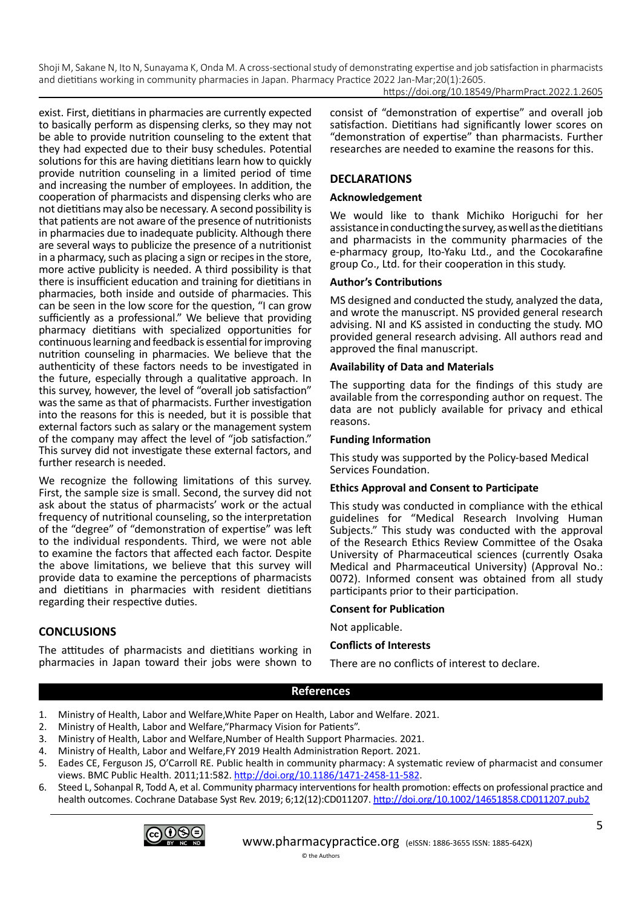https://doi.org/10.18549/PharmPract.2022.1.2605

exist. First, dietitians in pharmacies are currently expected to basically perform as dispensing clerks, so they may not be able to provide nutrition counseling to the extent that they had expected due to their busy schedules. Potential solutions for this are having dietitians learn how to quickly provide nutrition counseling in a limited period of time and increasing the number of employees. In addition, the cooperation of pharmacists and dispensing clerks who are not dietitians may also be necessary. A second possibility is that patients are not aware of the presence of nutritionists in pharmacies due to inadequate publicity. Although there are several ways to publicize the presence of a nutritionist in a pharmacy, such as placing a sign or recipes in the store, more active publicity is needed. A third possibility is that there is insufficient education and training for dietitians in pharmacies, both inside and outside of pharmacies. This can be seen in the low score for the question, "I can grow sufficiently as a professional." We believe that providing pharmacy dietitians with specialized opportunities for continuous learning and feedback is essential for improving nutrition counseling in pharmacies. We believe that the authenticity of these factors needs to be investigated in the future, especially through a qualitative approach. In this survey, however, the level of "overall job satisfaction" was the same as that of pharmacists. Further investigation into the reasons for this is needed, but it is possible that external factors such as salary or the management system of the company may affect the level of "job satisfaction." This survey did not investigate these external factors, and further research is needed.

We recognize the following limitations of this survey. First, the sample size is small. Second, the survey did not ask about the status of pharmacists' work or the actual frequency of nutritional counseling, so the interpretation of the "degree" of "demonstration of expertise" was left to the individual respondents. Third, we were not able to examine the factors that affected each factor. Despite the above limitations, we believe that this survey will provide data to examine the perceptions of pharmacists and dietitians in pharmacies with resident dietitians regarding their respective duties.

The attitudes of pharmacists and dietitians working in pharmacies in Japan toward their jobs were shown to consist of "demonstration of expertise" and overall job satisfaction. Dietitians had significantly lower scores on "demonstration of expertise" than pharmacists. Further researches are needed to examine the reasons for this.

# **DECLARATIONS**

# **Acknowledgement**

We would like to thank Michiko Horiguchi for her assistance in conducting the survey, as well as the dietitians and pharmacists in the community pharmacies of the e-pharmacy group, Ito-Yaku Ltd., and the Cocokarafine group Co., Ltd. for their cooperation in this study.

# **Author's Contributions**

MS designed and conducted the study, analyzed the data, and wrote the manuscript. NS provided general research advising. NI and KS assisted in conducting the study. MO provided general research advising. All authors read and approved the final manuscript.

# **Availability of Data and Materials**

The supporting data for the findings of this study are available from the corresponding author on request. The data are not publicly available for privacy and ethical reasons.

# **Funding Information**

This study was supported by the Policy-based Medical Services Foundation.

# **Ethics Approval and Consent to Participate**

This study was conducted in compliance with the ethical guidelines for "Medical Research Involving Human Subjects." This study was conducted with the approval of the Research Ethics Review Committee of the Osaka University of Pharmaceutical sciences (currently Osaka Medical and Pharmaceutical University) (Approval No.: 0072). Informed consent was obtained from all study participants prior to their participation.

# **Consent for Publication**

Not applicable.

# **Conflicts of Interests**

There are no conflicts of interest to declare.

# **References**

- 1. Ministry of Health, Labor and Welfare,White Paper on Health, Labor and Welfare. 2021.
- 2. Ministry of Health, Labor and Welfare,"Pharmacy Vision for Patients".
- 3. Ministry of Health, Labor and Welfare,Number of Health Support Pharmacies. 2021.
- 4. Ministry of Health, Labor and Welfare,FY 2019 Health Administration Report. 2021.
- 5. Eades CE, Ferguson JS, O'Carroll RE. Public health in community pharmacy: A systematic review of pharmacist and consumer views. BMC Public Health. 2011;11:582.<http://doi.org/10.1186/1471-2458-11-582>.
- 6. Steed L, Sohanpal R, Todd A, et al. Community pharmacy interventions for health promotion: effects on professional practice and health outcomes. Cochrane Database Syst Rev. 2019; 6;12(12):CD011207. http://doi.org[/10.1002/14651858.CD011207.pub2](https://doi.org/10.1002/14651858.cd011207.pub2)

© the Authors



**CONCLUSIONS**